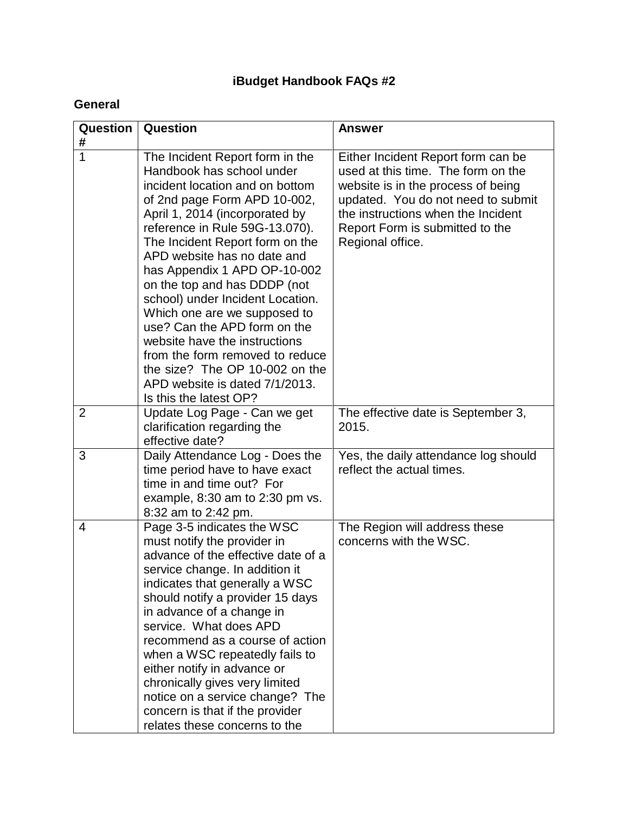# **iBudget Handbook FAQs #2**

### **General**

| Question            | Question                                                                                                                                                                                                                                                                                                                                                                                                                                                                                                                                                                                                    | <b>Answer</b>                                                                                                                                                                                                                                     |
|---------------------|-------------------------------------------------------------------------------------------------------------------------------------------------------------------------------------------------------------------------------------------------------------------------------------------------------------------------------------------------------------------------------------------------------------------------------------------------------------------------------------------------------------------------------------------------------------------------------------------------------------|---------------------------------------------------------------------------------------------------------------------------------------------------------------------------------------------------------------------------------------------------|
| #<br>$\overline{1}$ | The Incident Report form in the<br>Handbook has school under<br>incident location and on bottom<br>of 2nd page Form APD 10-002,<br>April 1, 2014 (incorporated by<br>reference in Rule 59G-13.070).<br>The Incident Report form on the<br>APD website has no date and<br>has Appendix 1 APD OP-10-002<br>on the top and has DDDP (not<br>school) under Incident Location.<br>Which one are we supposed to<br>use? Can the APD form on the<br>website have the instructions<br>from the form removed to reduce<br>the size? The OP 10-002 on the<br>APD website is dated 7/1/2013.<br>Is this the latest OP? | Either Incident Report form can be<br>used at this time. The form on the<br>website is in the process of being<br>updated. You do not need to submit<br>the instructions when the Incident<br>Report Form is submitted to the<br>Regional office. |
| $\overline{2}$      | Update Log Page - Can we get<br>clarification regarding the<br>effective date?                                                                                                                                                                                                                                                                                                                                                                                                                                                                                                                              | The effective date is September 3,<br>2015.                                                                                                                                                                                                       |
| 3                   | Daily Attendance Log - Does the<br>time period have to have exact<br>time in and time out? For<br>example, $8:30$ am to $2:30$ pm vs.<br>8:32 am to 2:42 pm.                                                                                                                                                                                                                                                                                                                                                                                                                                                | Yes, the daily attendance log should<br>reflect the actual times.                                                                                                                                                                                 |
| 4                   | Page 3-5 indicates the WSC<br>must notify the provider in<br>advance of the effective date of a<br>service change. In addition it<br>indicates that generally a WSC<br>should notify a provider 15 days<br>in advance of a change in<br>service. What does APD<br>recommend as a course of action<br>when a WSC repeatedly fails to<br>either notify in advance or<br>chronically gives very limited<br>notice on a service change? The<br>concern is that if the provider<br>relates these concerns to the                                                                                                 | The Region will address these<br>concerns with the WSC.                                                                                                                                                                                           |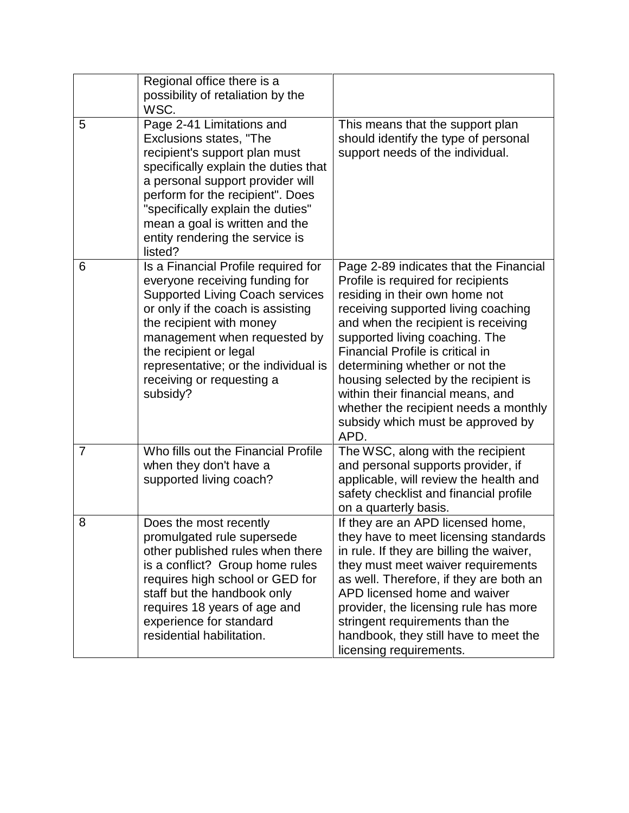|                | Regional office there is a<br>possibility of retaliation by the<br>WSC.                                                                                                                                                                                                                                                     |                                                                                                                                                                                                                                                                                                                                                                                                                                                                         |
|----------------|-----------------------------------------------------------------------------------------------------------------------------------------------------------------------------------------------------------------------------------------------------------------------------------------------------------------------------|-------------------------------------------------------------------------------------------------------------------------------------------------------------------------------------------------------------------------------------------------------------------------------------------------------------------------------------------------------------------------------------------------------------------------------------------------------------------------|
| 5              | Page 2-41 Limitations and<br>Exclusions states, "The<br>recipient's support plan must<br>specifically explain the duties that<br>a personal support provider will<br>perform for the recipient". Does<br>"specifically explain the duties"<br>mean a goal is written and the<br>entity rendering the service is<br>listed?  | This means that the support plan<br>should identify the type of personal<br>support needs of the individual.                                                                                                                                                                                                                                                                                                                                                            |
| 6              | Is a Financial Profile required for<br>everyone receiving funding for<br><b>Supported Living Coach services</b><br>or only if the coach is assisting<br>the recipient with money<br>management when requested by<br>the recipient or legal<br>representative; or the individual is<br>receiving or requesting a<br>subsidy? | Page 2-89 indicates that the Financial<br>Profile is required for recipients<br>residing in their own home not<br>receiving supported living coaching<br>and when the recipient is receiving<br>supported living coaching. The<br>Financial Profile is critical in<br>determining whether or not the<br>housing selected by the recipient is<br>within their financial means, and<br>whether the recipient needs a monthly<br>subsidy which must be approved by<br>APD. |
| $\overline{7}$ | Who fills out the Financial Profile<br>when they don't have a<br>supported living coach?                                                                                                                                                                                                                                    | The WSC, along with the recipient<br>and personal supports provider, if<br>applicable, will review the health and<br>safety checklist and financial profile<br>on a quarterly basis.                                                                                                                                                                                                                                                                                    |
| 8              | Does the most recently<br>promulgated rule supersede<br>other published rules when there<br>is a conflict? Group home rules<br>requires high school or GED for<br>staff but the handbook only<br>requires 18 years of age and<br>experience for standard<br>residential habilitation.                                       | If they are an APD licensed home,<br>they have to meet licensing standards<br>in rule. If they are billing the waiver,<br>they must meet waiver requirements<br>as well. Therefore, if they are both an<br>APD licensed home and waiver<br>provider, the licensing rule has more<br>stringent requirements than the<br>handbook, they still have to meet the<br>licensing requirements.                                                                                 |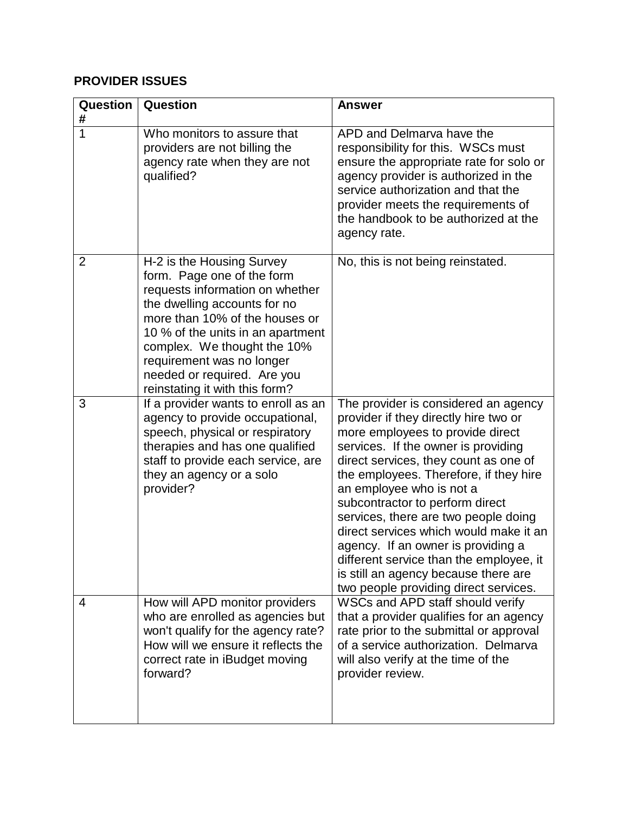#### **PROVIDER ISSUES**

| Question<br>#  | Question                                                                                                                                                                                                                                                                                                                       | <b>Answer</b>                                                                                                                                                                                                                                                                                                                                                                                                                                                                                                                                                  |
|----------------|--------------------------------------------------------------------------------------------------------------------------------------------------------------------------------------------------------------------------------------------------------------------------------------------------------------------------------|----------------------------------------------------------------------------------------------------------------------------------------------------------------------------------------------------------------------------------------------------------------------------------------------------------------------------------------------------------------------------------------------------------------------------------------------------------------------------------------------------------------------------------------------------------------|
| 1              | Who monitors to assure that<br>providers are not billing the<br>agency rate when they are not<br>qualified?                                                                                                                                                                                                                    | APD and Delmarva have the<br>responsibility for this. WSCs must<br>ensure the appropriate rate for solo or<br>agency provider is authorized in the<br>service authorization and that the<br>provider meets the requirements of<br>the handbook to be authorized at the<br>agency rate.                                                                                                                                                                                                                                                                         |
| $\overline{2}$ | H-2 is the Housing Survey<br>form. Page one of the form<br>requests information on whether<br>the dwelling accounts for no<br>more than 10% of the houses or<br>10 % of the units in an apartment<br>complex. We thought the 10%<br>requirement was no longer<br>needed or required. Are you<br>reinstating it with this form? | No, this is not being reinstated.                                                                                                                                                                                                                                                                                                                                                                                                                                                                                                                              |
| 3              | If a provider wants to enroll as an<br>agency to provide occupational,<br>speech, physical or respiratory<br>therapies and has one qualified<br>staff to provide each service, are<br>they an agency or a solo<br>provider?                                                                                                    | The provider is considered an agency<br>provider if they directly hire two or<br>more employees to provide direct<br>services. If the owner is providing<br>direct services, they count as one of<br>the employees. Therefore, if they hire<br>an employee who is not a<br>subcontractor to perform direct<br>services, there are two people doing<br>direct services which would make it an<br>agency. If an owner is providing a<br>different service than the employee, it<br>is still an agency because there are<br>two people providing direct services. |
| 4              | How will APD monitor providers<br>who are enrolled as agencies but<br>won't qualify for the agency rate?<br>How will we ensure it reflects the<br>correct rate in iBudget moving<br>forward?                                                                                                                                   | WSCs and APD staff should verify<br>that a provider qualifies for an agency<br>rate prior to the submittal or approval<br>of a service authorization. Delmarva<br>will also verify at the time of the<br>provider review.                                                                                                                                                                                                                                                                                                                                      |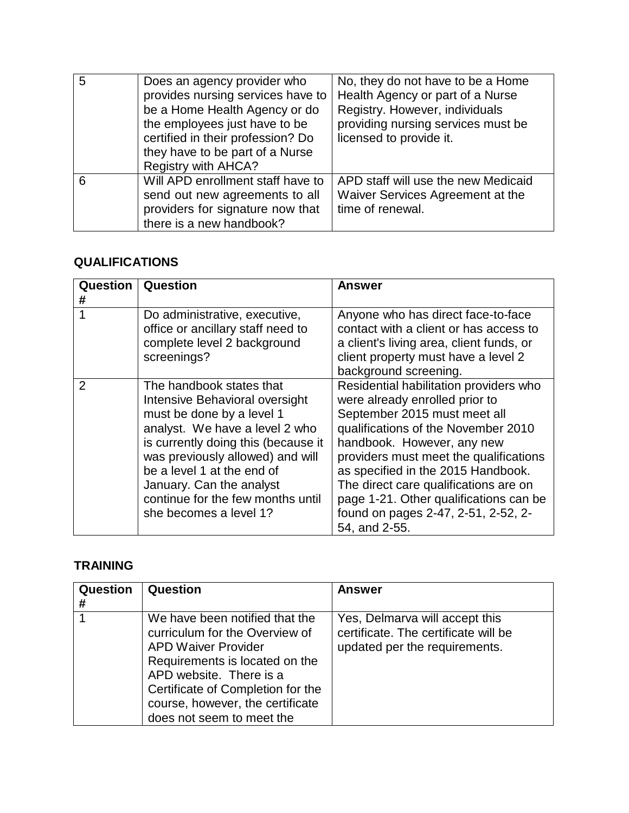| 5 | Does an agency provider who<br>provides nursing services have to<br>be a Home Health Agency or do<br>the employees just have to be<br>certified in their profession? Do<br>they have to be part of a Nurse<br><b>Registry with AHCA?</b> | No, they do not have to be a Home<br>Health Agency or part of a Nurse<br>Registry. However, individuals<br>providing nursing services must be<br>licensed to provide it. |
|---|------------------------------------------------------------------------------------------------------------------------------------------------------------------------------------------------------------------------------------------|--------------------------------------------------------------------------------------------------------------------------------------------------------------------------|
| 6 | Will APD enrollment staff have to<br>send out new agreements to all<br>providers for signature now that<br>there is a new handbook?                                                                                                      | APD staff will use the new Medicaid<br>Waiver Services Agreement at the<br>time of renewal.                                                                              |

### **QUALIFICATIONS**

| Question | Question                                                                                                                                                                                                                                                                                                                      | Answer                                                                                                                                                                                                                                                                                                                                                                                                   |
|----------|-------------------------------------------------------------------------------------------------------------------------------------------------------------------------------------------------------------------------------------------------------------------------------------------------------------------------------|----------------------------------------------------------------------------------------------------------------------------------------------------------------------------------------------------------------------------------------------------------------------------------------------------------------------------------------------------------------------------------------------------------|
| #        |                                                                                                                                                                                                                                                                                                                               |                                                                                                                                                                                                                                                                                                                                                                                                          |
|          | Do administrative, executive,<br>office or ancillary staff need to<br>complete level 2 background<br>screenings?                                                                                                                                                                                                              | Anyone who has direct face-to-face<br>contact with a client or has access to<br>a client's living area, client funds, or<br>client property must have a level 2<br>background screening.                                                                                                                                                                                                                 |
| 2        | The handbook states that<br>Intensive Behavioral oversight<br>must be done by a level 1<br>analyst. We have a level 2 who<br>is currently doing this (because it<br>was previously allowed) and will<br>be a level 1 at the end of<br>January. Can the analyst<br>continue for the few months until<br>she becomes a level 1? | Residential habilitation providers who<br>were already enrolled prior to<br>September 2015 must meet all<br>qualifications of the November 2010<br>handbook. However, any new<br>providers must meet the qualifications<br>as specified in the 2015 Handbook.<br>The direct care qualifications are on<br>page 1-21. Other qualifications can be<br>found on pages 2-47, 2-51, 2-52, 2-<br>54, and 2-55. |

## **TRAINING**

| Question<br># | Question                                                                                                                                                                                                                                                          | <b>Answer</b>                                                                                           |
|---------------|-------------------------------------------------------------------------------------------------------------------------------------------------------------------------------------------------------------------------------------------------------------------|---------------------------------------------------------------------------------------------------------|
|               | We have been notified that the<br>curriculum for the Overview of<br><b>APD Waiver Provider</b><br>Requirements is located on the<br>APD website. There is a<br>Certificate of Completion for the<br>course, however, the certificate<br>does not seem to meet the | Yes, Delmarva will accept this<br>certificate. The certificate will be<br>updated per the requirements. |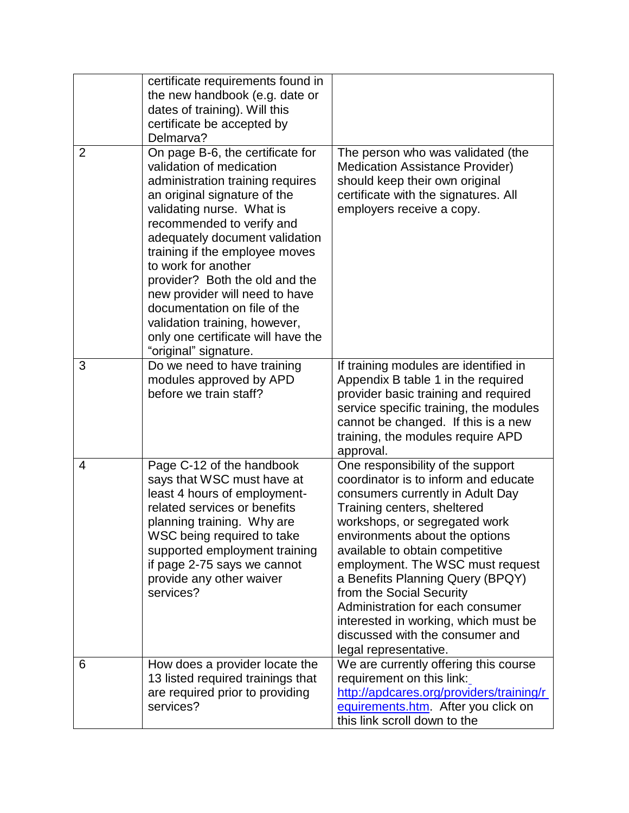|                | certificate requirements found in<br>the new handbook (e.g. date or<br>dates of training). Will this<br>certificate be accepted by<br>Delmarva?                                                                                                                                                                                                                                                                                                                                           |                                                                                                                                                                                                                                                                                                                                                                                                                                                                                                |
|----------------|-------------------------------------------------------------------------------------------------------------------------------------------------------------------------------------------------------------------------------------------------------------------------------------------------------------------------------------------------------------------------------------------------------------------------------------------------------------------------------------------|------------------------------------------------------------------------------------------------------------------------------------------------------------------------------------------------------------------------------------------------------------------------------------------------------------------------------------------------------------------------------------------------------------------------------------------------------------------------------------------------|
| $\overline{2}$ | On page B-6, the certificate for<br>validation of medication<br>administration training requires<br>an original signature of the<br>validating nurse. What is<br>recommended to verify and<br>adequately document validation<br>training if the employee moves<br>to work for another<br>provider? Both the old and the<br>new provider will need to have<br>documentation on file of the<br>validation training, however,<br>only one certificate will have the<br>"original" signature. | The person who was validated (the<br><b>Medication Assistance Provider)</b><br>should keep their own original<br>certificate with the signatures. All<br>employers receive a copy.                                                                                                                                                                                                                                                                                                             |
| 3              | Do we need to have training<br>modules approved by APD<br>before we train staff?                                                                                                                                                                                                                                                                                                                                                                                                          | If training modules are identified in<br>Appendix B table 1 in the required<br>provider basic training and required<br>service specific training, the modules<br>cannot be changed. If this is a new<br>training, the modules require APD<br>approval.                                                                                                                                                                                                                                         |
| 4              | Page C-12 of the handbook<br>says that WSC must have at<br>least 4 hours of employment-<br>related services or benefits<br>planning training. Why are<br>WSC being required to take<br>supported employment training<br>if page 2-75 says we cannot<br>provide any other waiver<br>services?                                                                                                                                                                                              | One responsibility of the support<br>coordinator is to inform and educate<br>consumers currently in Adult Day<br>Training centers, sheltered<br>workshops, or segregated work<br>environments about the options<br>available to obtain competitive<br>employment. The WSC must request<br>a Benefits Planning Query (BPQY)<br>from the Social Security<br>Administration for each consumer<br>interested in working, which must be<br>discussed with the consumer and<br>legal representative. |
| 6              | How does a provider locate the<br>13 listed required trainings that<br>are required prior to providing<br>services?                                                                                                                                                                                                                                                                                                                                                                       | We are currently offering this course<br>requirement on this link:<br>http://apdcares.org/providers/training/r<br>equirements.htm. After you click on<br>this link scroll down to the                                                                                                                                                                                                                                                                                                          |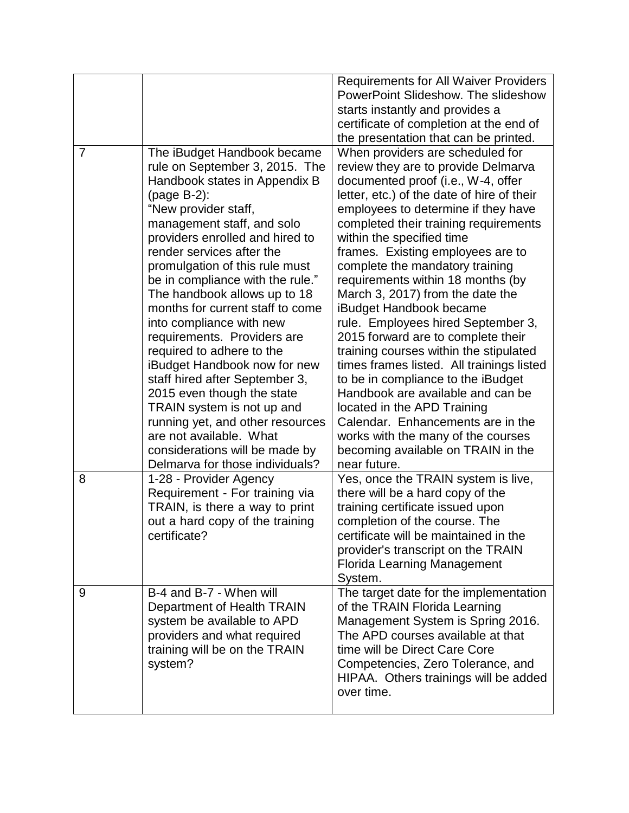|                |                                                                                                                                                                                                                                                                                                                                                                                                                                                                                                                                                                                                                                                                                                                                         | <b>Requirements for All Waiver Providers</b><br>PowerPoint Slideshow. The slideshow<br>starts instantly and provides a<br>certificate of completion at the end of<br>the presentation that can be printed.                                                                                                                                                                                                                                                                                                                                                                                                                                                                                                                                                                                                                                                         |
|----------------|-----------------------------------------------------------------------------------------------------------------------------------------------------------------------------------------------------------------------------------------------------------------------------------------------------------------------------------------------------------------------------------------------------------------------------------------------------------------------------------------------------------------------------------------------------------------------------------------------------------------------------------------------------------------------------------------------------------------------------------------|--------------------------------------------------------------------------------------------------------------------------------------------------------------------------------------------------------------------------------------------------------------------------------------------------------------------------------------------------------------------------------------------------------------------------------------------------------------------------------------------------------------------------------------------------------------------------------------------------------------------------------------------------------------------------------------------------------------------------------------------------------------------------------------------------------------------------------------------------------------------|
| $\overline{7}$ | The iBudget Handbook became<br>rule on September 3, 2015. The<br>Handbook states in Appendix B<br>(page B-2):<br>"New provider staff,<br>management staff, and solo<br>providers enrolled and hired to<br>render services after the<br>promulgation of this rule must<br>be in compliance with the rule."<br>The handbook allows up to 18<br>months for current staff to come<br>into compliance with new<br>requirements. Providers are<br>required to adhere to the<br>iBudget Handbook now for new<br>staff hired after September 3,<br>2015 even though the state<br>TRAIN system is not up and<br>running yet, and other resources<br>are not available. What<br>considerations will be made by<br>Delmarva for those individuals? | When providers are scheduled for<br>review they are to provide Delmarva<br>documented proof (i.e., W-4, offer<br>letter, etc.) of the date of hire of their<br>employees to determine if they have<br>completed their training requirements<br>within the specified time<br>frames. Existing employees are to<br>complete the mandatory training<br>requirements within 18 months (by<br>March 3, 2017) from the date the<br>iBudget Handbook became<br>rule. Employees hired September 3,<br>2015 forward are to complete their<br>training courses within the stipulated<br>times frames listed. All trainings listed<br>to be in compliance to the iBudget<br>Handbook are available and can be<br>located in the APD Training<br>Calendar. Enhancements are in the<br>works with the many of the courses<br>becoming available on TRAIN in the<br>near future. |
| 8              | 1-28 - Provider Agency<br>Requirement - For training via<br>TRAIN, is there a way to print<br>out a hard copy of the training<br>certificate?                                                                                                                                                                                                                                                                                                                                                                                                                                                                                                                                                                                           | Yes, once the TRAIN system is live,<br>there will be a hard copy of the<br>training certificate issued upon<br>completion of the course. The<br>certificate will be maintained in the<br>provider's transcript on the TRAIN<br><b>Florida Learning Management</b><br>System.                                                                                                                                                                                                                                                                                                                                                                                                                                                                                                                                                                                       |
| 9              | B-4 and B-7 - When will<br>Department of Health TRAIN<br>system be available to APD<br>providers and what required<br>training will be on the TRAIN<br>system?                                                                                                                                                                                                                                                                                                                                                                                                                                                                                                                                                                          | The target date for the implementation<br>of the TRAIN Florida Learning<br>Management System is Spring 2016.<br>The APD courses available at that<br>time will be Direct Care Core<br>Competencies, Zero Tolerance, and<br>HIPAA. Others trainings will be added<br>over time.                                                                                                                                                                                                                                                                                                                                                                                                                                                                                                                                                                                     |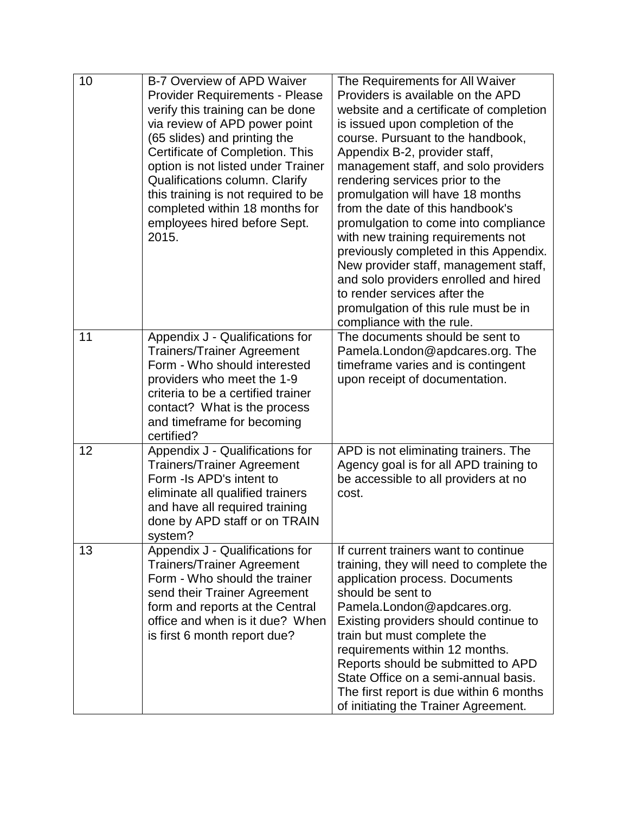| 10 | B-7 Overview of APD Waiver<br><b>Provider Requirements - Please</b><br>verify this training can be done<br>via review of APD power point<br>(65 slides) and printing the<br>Certificate of Completion. This<br>option is not listed under Trainer<br>Qualifications column. Clarify<br>this training is not required to be<br>completed within 18 months for<br>employees hired before Sept.<br>2015. | The Requirements for All Waiver<br>Providers is available on the APD<br>website and a certificate of completion<br>is issued upon completion of the<br>course. Pursuant to the handbook,<br>Appendix B-2, provider staff,<br>management staff, and solo providers<br>rendering services prior to the<br>promulgation will have 18 months<br>from the date of this handbook's<br>promulgation to come into compliance<br>with new training requirements not<br>previously completed in this Appendix.<br>New provider staff, management staff,<br>and solo providers enrolled and hired<br>to render services after the<br>promulgation of this rule must be in |
|----|-------------------------------------------------------------------------------------------------------------------------------------------------------------------------------------------------------------------------------------------------------------------------------------------------------------------------------------------------------------------------------------------------------|----------------------------------------------------------------------------------------------------------------------------------------------------------------------------------------------------------------------------------------------------------------------------------------------------------------------------------------------------------------------------------------------------------------------------------------------------------------------------------------------------------------------------------------------------------------------------------------------------------------------------------------------------------------|
| 11 | Appendix J - Qualifications for<br><b>Trainers/Trainer Agreement</b><br>Form - Who should interested<br>providers who meet the 1-9<br>criteria to be a certified trainer<br>contact? What is the process<br>and timeframe for becoming<br>certified?                                                                                                                                                  | compliance with the rule.<br>The documents should be sent to<br>Pamela.London@apdcares.org. The<br>timeframe varies and is contingent<br>upon receipt of documentation.                                                                                                                                                                                                                                                                                                                                                                                                                                                                                        |
| 12 | Appendix J - Qualifications for<br><b>Trainers/Trainer Agreement</b><br>Form - Is APD's intent to<br>eliminate all qualified trainers<br>and have all required training<br>done by APD staff or on TRAIN<br>system?                                                                                                                                                                                   | APD is not eliminating trainers. The<br>Agency goal is for all APD training to<br>be accessible to all providers at no<br>cost.                                                                                                                                                                                                                                                                                                                                                                                                                                                                                                                                |
| 13 | Appendix J - Qualifications for<br><b>Trainers/Trainer Agreement</b><br>Form - Who should the trainer<br>send their Trainer Agreement<br>form and reports at the Central<br>office and when is it due? When<br>is first 6 month report due?                                                                                                                                                           | If current trainers want to continue<br>training, they will need to complete the<br>application process. Documents<br>should be sent to<br>Pamela.London@apdcares.org.<br>Existing providers should continue to<br>train but must complete the<br>requirements within 12 months.<br>Reports should be submitted to APD<br>State Office on a semi-annual basis.<br>The first report is due within 6 months<br>of initiating the Trainer Agreement.                                                                                                                                                                                                              |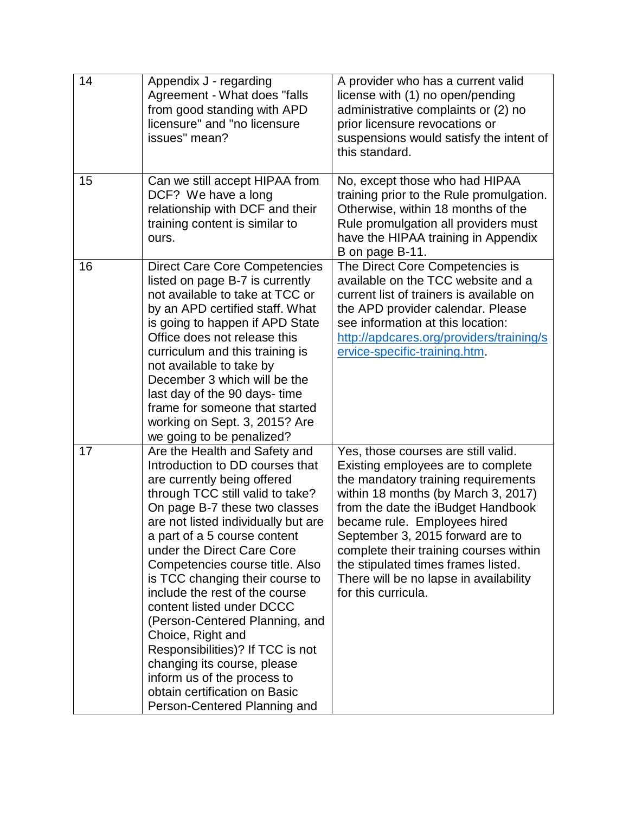| 14 | Appendix J - regarding<br>Agreement - What does "falls<br>from good standing with APD<br>licensure" and "no licensure<br>issues" mean?                                                                                                                                                                                                                                                                                                                                                                                                                                                                                                   | A provider who has a current valid<br>license with (1) no open/pending<br>administrative complaints or (2) no<br>prior licensure revocations or<br>suspensions would satisfy the intent of<br>this standard.                                                                                                                                                                                                        |
|----|------------------------------------------------------------------------------------------------------------------------------------------------------------------------------------------------------------------------------------------------------------------------------------------------------------------------------------------------------------------------------------------------------------------------------------------------------------------------------------------------------------------------------------------------------------------------------------------------------------------------------------------|---------------------------------------------------------------------------------------------------------------------------------------------------------------------------------------------------------------------------------------------------------------------------------------------------------------------------------------------------------------------------------------------------------------------|
| 15 | Can we still accept HIPAA from<br>DCF? We have a long<br>relationship with DCF and their<br>training content is similar to<br>ours.                                                                                                                                                                                                                                                                                                                                                                                                                                                                                                      | No, except those who had HIPAA<br>training prior to the Rule promulgation.<br>Otherwise, within 18 months of the<br>Rule promulgation all providers must<br>have the HIPAA training in Appendix<br>B on page B-11.                                                                                                                                                                                                  |
| 16 | <b>Direct Care Core Competencies</b><br>listed on page B-7 is currently<br>not available to take at TCC or<br>by an APD certified staff. What<br>is going to happen if APD State<br>Office does not release this<br>curriculum and this training is<br>not available to take by<br>December 3 which will be the<br>last day of the 90 days-time<br>frame for someone that started<br>working on Sept. 3, 2015? Are<br>we going to be penalized?                                                                                                                                                                                          | The Direct Core Competencies is<br>available on the TCC website and a<br>current list of trainers is available on<br>the APD provider calendar. Please<br>see information at this location:<br>http://apdcares.org/providers/training/s<br>ervice-specific-training.htm.                                                                                                                                            |
| 17 | Are the Health and Safety and<br>Introduction to DD courses that<br>are currently being offered<br>through TCC still valid to take?<br>On page B-7 these two classes<br>are not listed individually but are<br>a part of a 5 course content<br>under the Direct Care Core<br>Competencies course title. Also<br>is TCC changing their course to<br>include the rest of the course<br>content listed under DCCC<br>(Person-Centered Planning, and<br>Choice, Right and<br>Responsibilities)? If TCC is not<br>changing its course, please<br>inform us of the process to<br>obtain certification on Basic<br>Person-Centered Planning and | Yes, those courses are still valid.<br>Existing employees are to complete<br>the mandatory training requirements<br>within 18 months (by March 3, 2017)<br>from the date the iBudget Handbook<br>became rule. Employees hired<br>September 3, 2015 forward are to<br>complete their training courses within<br>the stipulated times frames listed.<br>There will be no lapse in availability<br>for this curricula. |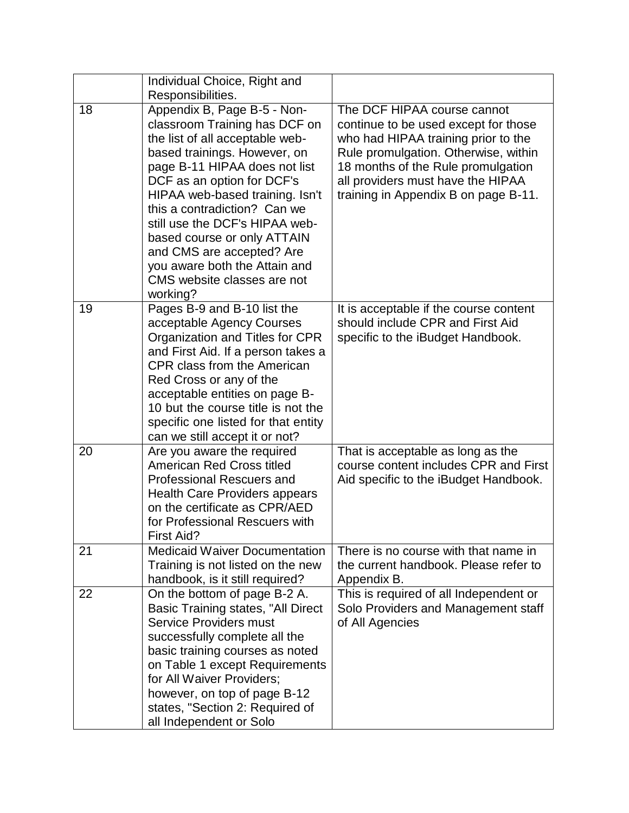|    | Individual Choice, Right and<br>Responsibilities.                                                                                                                                                                                                                                                                                                                                                                                           |                                                                                                                                                                                                                                                                       |
|----|---------------------------------------------------------------------------------------------------------------------------------------------------------------------------------------------------------------------------------------------------------------------------------------------------------------------------------------------------------------------------------------------------------------------------------------------|-----------------------------------------------------------------------------------------------------------------------------------------------------------------------------------------------------------------------------------------------------------------------|
| 18 | Appendix B, Page B-5 - Non-<br>classroom Training has DCF on<br>the list of all acceptable web-<br>based trainings. However, on<br>page B-11 HIPAA does not list<br>DCF as an option for DCF's<br>HIPAA web-based training. Isn't<br>this a contradiction? Can we<br>still use the DCF's HIPAA web-<br>based course or only ATTAIN<br>and CMS are accepted? Are<br>you aware both the Attain and<br>CMS website classes are not<br>working? | The DCF HIPAA course cannot<br>continue to be used except for those<br>who had HIPAA training prior to the<br>Rule promulgation. Otherwise, within<br>18 months of the Rule promulgation<br>all providers must have the HIPAA<br>training in Appendix B on page B-11. |
| 19 | Pages B-9 and B-10 list the<br>acceptable Agency Courses<br>Organization and Titles for CPR<br>and First Aid. If a person takes a<br>CPR class from the American<br>Red Cross or any of the<br>acceptable entities on page B-<br>10 but the course title is not the<br>specific one listed for that entity<br>can we still accept it or not?                                                                                                | It is acceptable if the course content<br>should include CPR and First Aid<br>specific to the iBudget Handbook.                                                                                                                                                       |
| 20 | Are you aware the required<br>American Red Cross titled<br><b>Professional Rescuers and</b><br><b>Health Care Providers appears</b><br>on the certificate as CPR/AED<br>for Professional Rescuers with<br>First Aid?                                                                                                                                                                                                                        | That is acceptable as long as the<br>course content includes CPR and First<br>Aid specific to the iBudget Handbook.                                                                                                                                                   |
| 21 | <b>Medicaid Waiver Documentation</b><br>Training is not listed on the new<br>handbook, is it still required?                                                                                                                                                                                                                                                                                                                                | There is no course with that name in<br>the current handbook. Please refer to<br>Appendix B.                                                                                                                                                                          |
| 22 | On the bottom of page B-2 A.<br>Basic Training states, "All Direct<br><b>Service Providers must</b><br>successfully complete all the<br>basic training courses as noted<br>on Table 1 except Requirements<br>for All Waiver Providers;<br>however, on top of page B-12<br>states, "Section 2: Required of<br>all Independent or Solo                                                                                                        | This is required of all Independent or<br>Solo Providers and Management staff<br>of All Agencies                                                                                                                                                                      |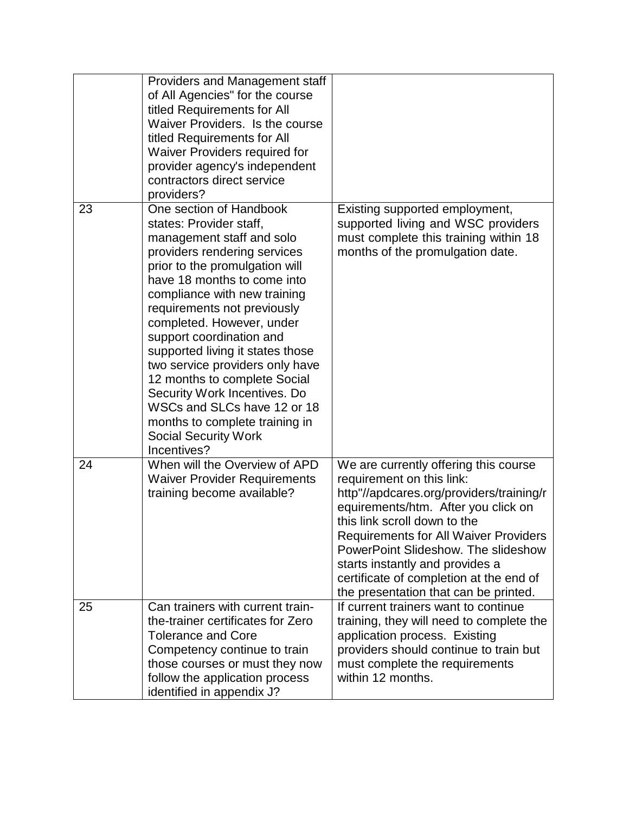|    | Providers and Management staff<br>of All Agencies" for the course<br>titled Requirements for All<br>Waiver Providers. Is the course<br>titled Requirements for All<br>Waiver Providers required for<br>provider agency's independent<br>contractors direct service<br>providers?                                                                                                                                                                                                                                                                               |                                                                                                                                                                                                                                                                                                                                                                                                     |
|----|----------------------------------------------------------------------------------------------------------------------------------------------------------------------------------------------------------------------------------------------------------------------------------------------------------------------------------------------------------------------------------------------------------------------------------------------------------------------------------------------------------------------------------------------------------------|-----------------------------------------------------------------------------------------------------------------------------------------------------------------------------------------------------------------------------------------------------------------------------------------------------------------------------------------------------------------------------------------------------|
| 23 | One section of Handbook<br>states: Provider staff,<br>management staff and solo<br>providers rendering services<br>prior to the promulgation will<br>have 18 months to come into<br>compliance with new training<br>requirements not previously<br>completed. However, under<br>support coordination and<br>supported living it states those<br>two service providers only have<br>12 months to complete Social<br>Security Work Incentives. Do<br>WSCs and SLCs have 12 or 18<br>months to complete training in<br><b>Social Security Work</b><br>Incentives? | Existing supported employment,<br>supported living and WSC providers<br>must complete this training within 18<br>months of the promulgation date.                                                                                                                                                                                                                                                   |
| 24 | When will the Overview of APD<br><b>Waiver Provider Requirements</b><br>training become available?                                                                                                                                                                                                                                                                                                                                                                                                                                                             | We are currently offering this course<br>requirement on this link:<br>http"//apdcares.org/providers/training/r<br>equirements/htm. After you click on<br>this link scroll down to the<br><b>Requirements for All Waiver Providers</b><br>PowerPoint Slideshow. The slideshow<br>starts instantly and provides a<br>certificate of completion at the end of<br>the presentation that can be printed. |
| 25 | Can trainers with current train-<br>the-trainer certificates for Zero<br><b>Tolerance and Core</b><br>Competency continue to train<br>those courses or must they now<br>follow the application process<br>identified in appendix J?                                                                                                                                                                                                                                                                                                                            | If current trainers want to continue<br>training, they will need to complete the<br>application process. Existing<br>providers should continue to train but<br>must complete the requirements<br>within 12 months.                                                                                                                                                                                  |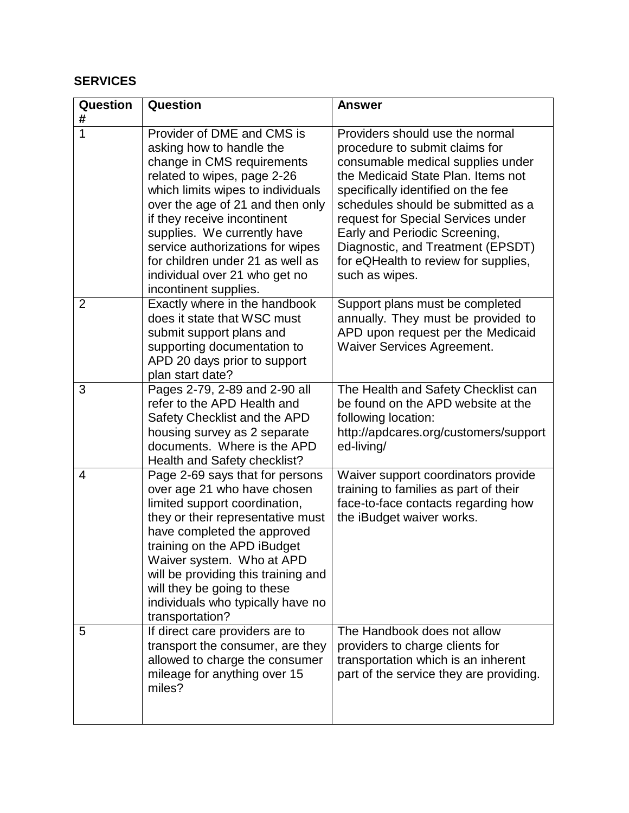#### **SERVICES**

| Question<br>#  | Question                                                                                                                                                                                                                                                                                                                                                                                     | <b>Answer</b>                                                                                                                                                                                                                                                                                                                                                                                  |
|----------------|----------------------------------------------------------------------------------------------------------------------------------------------------------------------------------------------------------------------------------------------------------------------------------------------------------------------------------------------------------------------------------------------|------------------------------------------------------------------------------------------------------------------------------------------------------------------------------------------------------------------------------------------------------------------------------------------------------------------------------------------------------------------------------------------------|
| 1              | Provider of DME and CMS is<br>asking how to handle the<br>change in CMS requirements<br>related to wipes, page 2-26<br>which limits wipes to individuals<br>over the age of 21 and then only<br>if they receive incontinent<br>supplies. We currently have<br>service authorizations for wipes<br>for children under 21 as well as<br>individual over 21 who get no<br>incontinent supplies. | Providers should use the normal<br>procedure to submit claims for<br>consumable medical supplies under<br>the Medicaid State Plan. Items not<br>specifically identified on the fee<br>schedules should be submitted as a<br>request for Special Services under<br>Early and Periodic Screening,<br>Diagnostic, and Treatment (EPSDT)<br>for eQHealth to review for supplies,<br>such as wipes. |
| $\overline{2}$ | Exactly where in the handbook<br>does it state that WSC must<br>submit support plans and<br>supporting documentation to<br>APD 20 days prior to support<br>plan start date?                                                                                                                                                                                                                  | Support plans must be completed<br>annually. They must be provided to<br>APD upon request per the Medicaid<br><b>Waiver Services Agreement.</b>                                                                                                                                                                                                                                                |
| 3              | Pages 2-79, 2-89 and 2-90 all<br>refer to the APD Health and<br>Safety Checklist and the APD<br>housing survey as 2 separate<br>documents. Where is the APD<br>Health and Safety checklist?                                                                                                                                                                                                  | The Health and Safety Checklist can<br>be found on the APD website at the<br>following location:<br>http://apdcares.org/customers/support<br>ed-living/                                                                                                                                                                                                                                        |
| 4              | Page 2-69 says that for persons<br>over age 21 who have chosen<br>limited support coordination,<br>they or their representative must<br>have completed the approved<br>training on the APD iBudget<br>Waiver system. Who at APD<br>will be providing this training and<br>will they be going to these<br>individuals who typically have no<br>transportation?                                | Waiver support coordinators provide<br>training to families as part of their<br>face-to-face contacts regarding how<br>the iBudget waiver works.                                                                                                                                                                                                                                               |
| 5              | If direct care providers are to<br>transport the consumer, are they<br>allowed to charge the consumer<br>mileage for anything over 15<br>miles?                                                                                                                                                                                                                                              | The Handbook does not allow<br>providers to charge clients for<br>transportation which is an inherent<br>part of the service they are providing.                                                                                                                                                                                                                                               |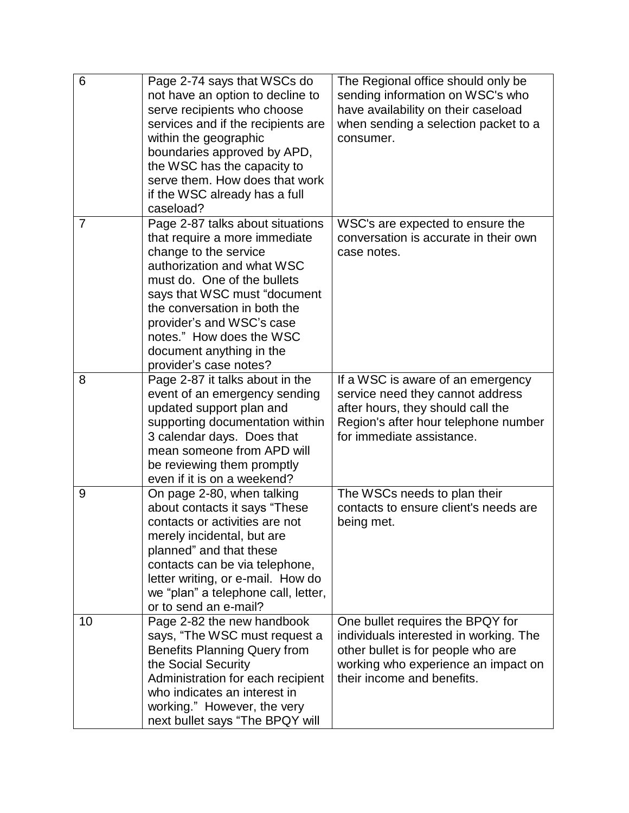| 6  | Page 2-74 says that WSCs do<br>not have an option to decline to<br>serve recipients who choose<br>services and if the recipients are<br>within the geographic<br>boundaries approved by APD,<br>the WSC has the capacity to<br>serve them. How does that work<br>if the WSC already has a full<br>caseload?                            | The Regional office should only be<br>sending information on WSC's who<br>have availability on their caseload<br>when sending a selection packet to a<br>consumer.                    |
|----|----------------------------------------------------------------------------------------------------------------------------------------------------------------------------------------------------------------------------------------------------------------------------------------------------------------------------------------|---------------------------------------------------------------------------------------------------------------------------------------------------------------------------------------|
| 7  | Page 2-87 talks about situations<br>that require a more immediate<br>change to the service<br>authorization and what WSC<br>must do. One of the bullets<br>says that WSC must "document<br>the conversation in both the<br>provider's and WSC's case<br>notes." How does the WSC<br>document anything in the<br>provider's case notes? | WSC's are expected to ensure the<br>conversation is accurate in their own<br>case notes.                                                                                              |
| 8  | Page 2-87 it talks about in the<br>event of an emergency sending<br>updated support plan and<br>supporting documentation within<br>3 calendar days. Does that<br>mean someone from APD will<br>be reviewing them promptly<br>even if it is on a weekend?                                                                               | If a WSC is aware of an emergency<br>service need they cannot address<br>after hours, they should call the<br>Region's after hour telephone number<br>for immediate assistance.       |
| 9  | On page 2-80, when talking<br>about contacts it says "These<br>contacts or activities are not<br>merely incidental, but are<br>planned" and that these<br>contacts can be via telephone,<br>letter writing, or e-mail. How do<br>we "plan" a telephone call, letter,<br>or to send an e-mail?                                          | The WSCs needs to plan their<br>contacts to ensure client's needs are<br>being met.                                                                                                   |
| 10 | Page 2-82 the new handbook<br>says, "The WSC must request a<br><b>Benefits Planning Query from</b><br>the Social Security<br>Administration for each recipient<br>who indicates an interest in<br>working." However, the very<br>next bullet says "The BPQY will                                                                       | One bullet requires the BPQY for<br>individuals interested in working. The<br>other bullet is for people who are<br>working who experience an impact on<br>their income and benefits. |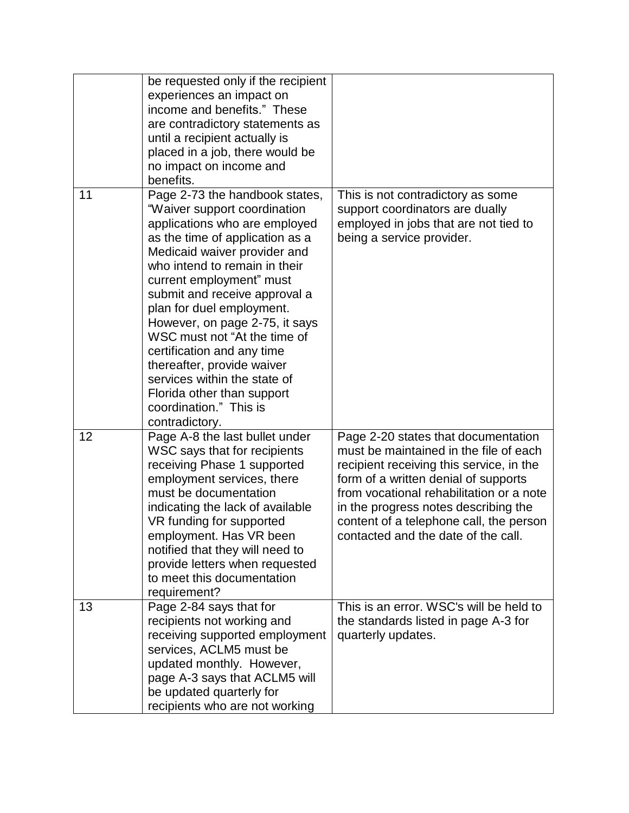|    | be requested only if the recipient<br>experiences an impact on<br>income and benefits." These<br>are contradictory statements as<br>until a recipient actually is<br>placed in a job, there would be<br>no impact on income and<br>benefits.                                                                                                                                                                                                                                                                                          |                                                                                                                                                                                                                                                                                                                                         |
|----|---------------------------------------------------------------------------------------------------------------------------------------------------------------------------------------------------------------------------------------------------------------------------------------------------------------------------------------------------------------------------------------------------------------------------------------------------------------------------------------------------------------------------------------|-----------------------------------------------------------------------------------------------------------------------------------------------------------------------------------------------------------------------------------------------------------------------------------------------------------------------------------------|
| 11 | Page 2-73 the handbook states,<br>"Waiver support coordination<br>applications who are employed<br>as the time of application as a<br>Medicaid waiver provider and<br>who intend to remain in their<br>current employment" must<br>submit and receive approval a<br>plan for duel employment.<br>However, on page 2-75, it says<br>WSC must not "At the time of<br>certification and any time<br>thereafter, provide waiver<br>services within the state of<br>Florida other than support<br>coordination." This is<br>contradictory. | This is not contradictory as some<br>support coordinators are dually<br>employed in jobs that are not tied to<br>being a service provider.                                                                                                                                                                                              |
| 12 | Page A-8 the last bullet under<br>WSC says that for recipients<br>receiving Phase 1 supported<br>employment services, there<br>must be documentation<br>indicating the lack of available<br>VR funding for supported<br>employment. Has VR been<br>notified that they will need to<br>provide letters when requested<br>to meet this documentation<br>requirement?                                                                                                                                                                    | Page 2-20 states that documentation<br>must be maintained in the file of each<br>recipient receiving this service, in the<br>form of a written denial of supports<br>from vocational rehabilitation or a note<br>in the progress notes describing the<br>content of a telephone call, the person<br>contacted and the date of the call. |
| 13 | Page 2-84 says that for<br>recipients not working and<br>receiving supported employment<br>services, ACLM5 must be<br>updated monthly. However,<br>page A-3 says that ACLM5 will<br>be updated quarterly for<br>recipients who are not working                                                                                                                                                                                                                                                                                        | This is an error. WSC's will be held to<br>the standards listed in page A-3 for<br>quarterly updates.                                                                                                                                                                                                                                   |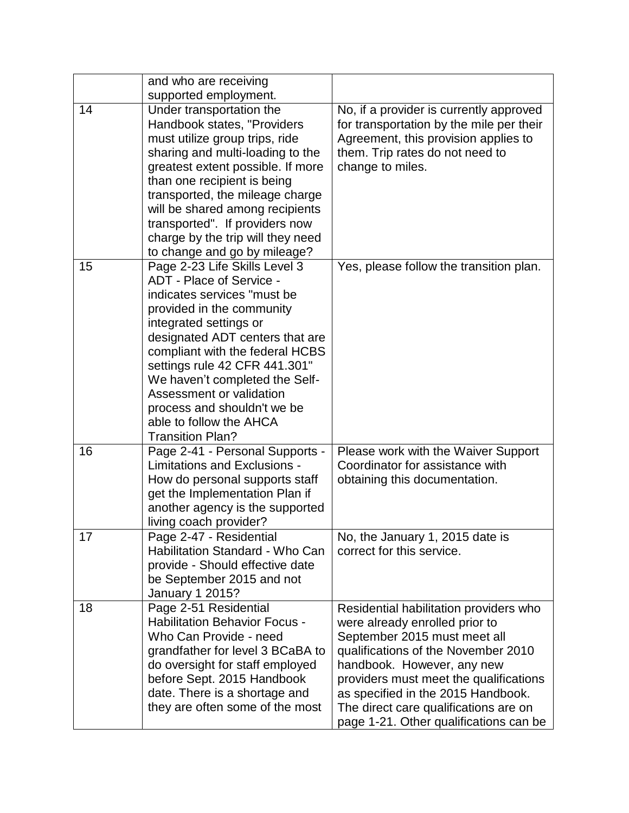|    | and who are receiving                                                                                                                                                                                                                                                                                                                                                                                     |                                                                                                                                                                                                                                                                                                                                                  |
|----|-----------------------------------------------------------------------------------------------------------------------------------------------------------------------------------------------------------------------------------------------------------------------------------------------------------------------------------------------------------------------------------------------------------|--------------------------------------------------------------------------------------------------------------------------------------------------------------------------------------------------------------------------------------------------------------------------------------------------------------------------------------------------|
|    | supported employment.                                                                                                                                                                                                                                                                                                                                                                                     |                                                                                                                                                                                                                                                                                                                                                  |
| 14 | Under transportation the<br>Handbook states, "Providers<br>must utilize group trips, ride<br>sharing and multi-loading to the<br>greatest extent possible. If more<br>than one recipient is being<br>transported, the mileage charge                                                                                                                                                                      | No, if a provider is currently approved<br>for transportation by the mile per their<br>Agreement, this provision applies to<br>them. Trip rates do not need to<br>change to miles.                                                                                                                                                               |
|    | will be shared among recipients<br>transported". If providers now<br>charge by the trip will they need<br>to change and go by mileage?                                                                                                                                                                                                                                                                    |                                                                                                                                                                                                                                                                                                                                                  |
| 15 | Page 2-23 Life Skills Level 3<br>ADT - Place of Service -<br>indicates services "must be<br>provided in the community<br>integrated settings or<br>designated ADT centers that are<br>compliant with the federal HCBS<br>settings rule 42 CFR 441.301"<br>We haven't completed the Self-<br>Assessment or validation<br>process and shouldn't we be<br>able to follow the AHCA<br><b>Transition Plan?</b> | Yes, please follow the transition plan.                                                                                                                                                                                                                                                                                                          |
| 16 | Page 2-41 - Personal Supports -<br>Limitations and Exclusions -<br>How do personal supports staff<br>get the Implementation Plan if<br>another agency is the supported<br>living coach provider?                                                                                                                                                                                                          | Please work with the Waiver Support<br>Coordinator for assistance with<br>obtaining this documentation.                                                                                                                                                                                                                                          |
| 17 | Page 2-47 - Residential<br>Habilitation Standard - Who Can<br>provide - Should effective date<br>be September 2015 and not<br><b>January 1 2015?</b>                                                                                                                                                                                                                                                      | No, the January 1, 2015 date is<br>correct for this service.                                                                                                                                                                                                                                                                                     |
| 18 | Page 2-51 Residential<br><b>Habilitation Behavior Focus -</b><br>Who Can Provide - need<br>grandfather for level 3 BCaBA to<br>do oversight for staff employed<br>before Sept. 2015 Handbook<br>date. There is a shortage and<br>they are often some of the most                                                                                                                                          | Residential habilitation providers who<br>were already enrolled prior to<br>September 2015 must meet all<br>qualifications of the November 2010<br>handbook. However, any new<br>providers must meet the qualifications<br>as specified in the 2015 Handbook.<br>The direct care qualifications are on<br>page 1-21. Other qualifications can be |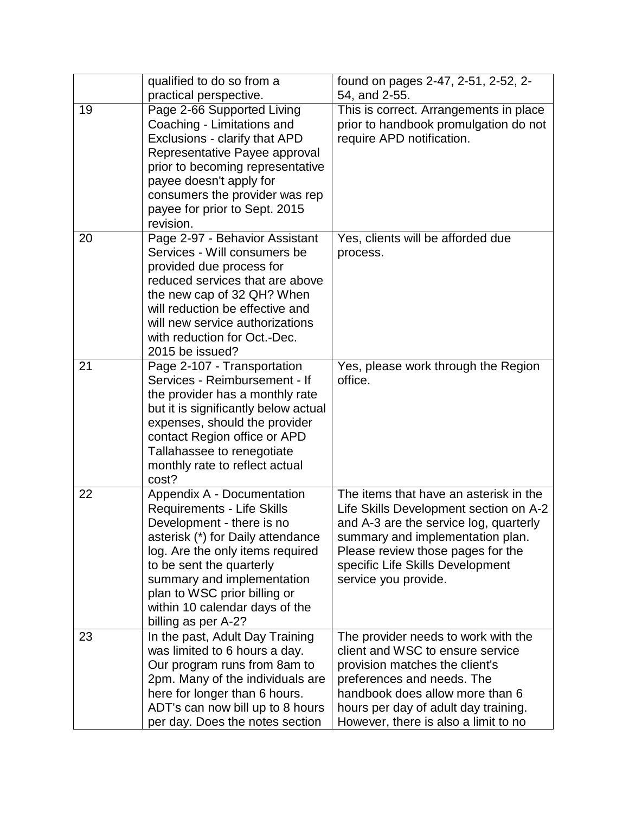|    | qualified to do so from a                                                                                                                                                                                                                                                                                                | found on pages 2-47, 2-51, 2-52, 2-                                                                                                                                                                                                                             |
|----|--------------------------------------------------------------------------------------------------------------------------------------------------------------------------------------------------------------------------------------------------------------------------------------------------------------------------|-----------------------------------------------------------------------------------------------------------------------------------------------------------------------------------------------------------------------------------------------------------------|
|    | practical perspective.                                                                                                                                                                                                                                                                                                   | 54, and 2-55.                                                                                                                                                                                                                                                   |
| 19 | Page 2-66 Supported Living<br>Coaching - Limitations and<br>Exclusions - clarify that APD<br>Representative Payee approval<br>prior to becoming representative<br>payee doesn't apply for<br>consumers the provider was rep<br>payee for prior to Sept. 2015<br>revision.                                                | This is correct. Arrangements in place<br>prior to handbook promulgation do not<br>require APD notification.                                                                                                                                                    |
| 20 | Page 2-97 - Behavior Assistant<br>Services - Will consumers be<br>provided due process for<br>reduced services that are above<br>the new cap of 32 QH? When<br>will reduction be effective and<br>will new service authorizations<br>with reduction for Oct.-Dec.<br>2015 be issued?                                     | Yes, clients will be afforded due<br>process.                                                                                                                                                                                                                   |
| 21 | Page 2-107 - Transportation<br>Services - Reimbursement - If<br>the provider has a monthly rate<br>but it is significantly below actual<br>expenses, should the provider<br>contact Region office or APD<br>Tallahassee to renegotiate<br>monthly rate to reflect actual<br>cost?                                        | Yes, please work through the Region<br>office.                                                                                                                                                                                                                  |
| 22 | Appendix A - Documentation<br><b>Requirements - Life Skills</b><br>Development - there is no<br>asterisk (*) for Daily attendance<br>log. Are the only items required<br>to be sent the quarterly<br>summary and implementation<br>plan to WSC prior billing or<br>within 10 calendar days of the<br>billing as per A-2? | The items that have an asterisk in the<br>Life Skills Development section on A-2<br>and A-3 are the service log, quarterly<br>summary and implementation plan.<br>Please review those pages for the<br>specific Life Skills Development<br>service you provide. |
| 23 | In the past, Adult Day Training<br>was limited to 6 hours a day.<br>Our program runs from 8am to<br>2pm. Many of the individuals are<br>here for longer than 6 hours.<br>ADT's can now bill up to 8 hours<br>per day. Does the notes section                                                                             | The provider needs to work with the<br>client and WSC to ensure service<br>provision matches the client's<br>preferences and needs. The<br>handbook does allow more than 6<br>hours per day of adult day training.<br>However, there is also a limit to no      |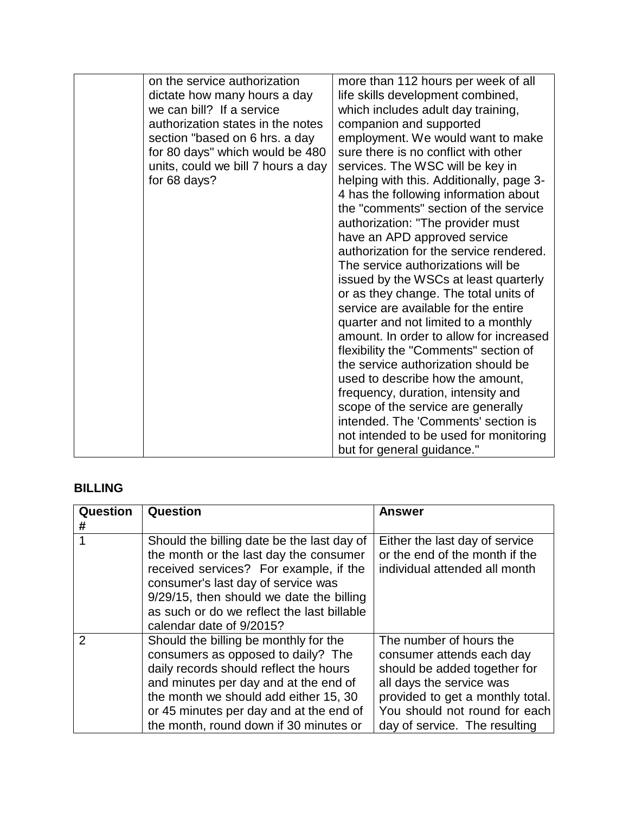| on the service authorization<br>dictate how many hours a day<br>we can bill? If a service<br>authorization states in the notes<br>section "based on 6 hrs. a day<br>for 80 days" which would be 480<br>units, could we bill 7 hours a day<br>for 68 days? | more than 112 hours per week of all<br>life skills development combined,<br>which includes adult day training,<br>companion and supported<br>employment. We would want to make<br>sure there is no conflict with other<br>services. The WSC will be key in<br>helping with this. Additionally, page 3-<br>4 has the following information about<br>the "comments" section of the service<br>authorization: "The provider must<br>have an APD approved service<br>authorization for the service rendered.<br>The service authorizations will be<br>issued by the WSCs at least quarterly<br>or as they change. The total units of<br>service are available for the entire<br>quarter and not limited to a monthly<br>amount. In order to allow for increased<br>flexibility the "Comments" section of<br>the service authorization should be<br>used to describe how the amount,<br>frequency, duration, intensity and<br>scope of the service are generally<br>intended. The 'Comments' section is |
|-----------------------------------------------------------------------------------------------------------------------------------------------------------------------------------------------------------------------------------------------------------|----------------------------------------------------------------------------------------------------------------------------------------------------------------------------------------------------------------------------------------------------------------------------------------------------------------------------------------------------------------------------------------------------------------------------------------------------------------------------------------------------------------------------------------------------------------------------------------------------------------------------------------------------------------------------------------------------------------------------------------------------------------------------------------------------------------------------------------------------------------------------------------------------------------------------------------------------------------------------------------------------|
|                                                                                                                                                                                                                                                           | not intended to be used for monitoring                                                                                                                                                                                                                                                                                                                                                                                                                                                                                                                                                                                                                                                                                                                                                                                                                                                                                                                                                             |
|                                                                                                                                                                                                                                                           | but for general guidance."                                                                                                                                                                                                                                                                                                                                                                                                                                                                                                                                                                                                                                                                                                                                                                                                                                                                                                                                                                         |

#### **BILLING**

| Question      | Question                                                                                                                                                                                                                                                                                     | <b>Answer</b>                                                                                                                                                                                                          |
|---------------|----------------------------------------------------------------------------------------------------------------------------------------------------------------------------------------------------------------------------------------------------------------------------------------------|------------------------------------------------------------------------------------------------------------------------------------------------------------------------------------------------------------------------|
| #             |                                                                                                                                                                                                                                                                                              |                                                                                                                                                                                                                        |
|               | Should the billing date be the last day of<br>the month or the last day the consumer<br>received services? For example, if the<br>consumer's last day of service was<br>9/29/15, then should we date the billing<br>as such or do we reflect the last billable<br>calendar date of 9/2015?   | Either the last day of service<br>or the end of the month if the<br>individual attended all month                                                                                                                      |
| $\mathcal{P}$ | Should the billing be monthly for the<br>consumers as opposed to daily? The<br>daily records should reflect the hours<br>and minutes per day and at the end of<br>the month we should add either 15, 30<br>or 45 minutes per day and at the end of<br>the month, round down if 30 minutes or | The number of hours the<br>consumer attends each day<br>should be added together for<br>all days the service was<br>provided to get a monthly total.<br>You should not round for each<br>day of service. The resulting |